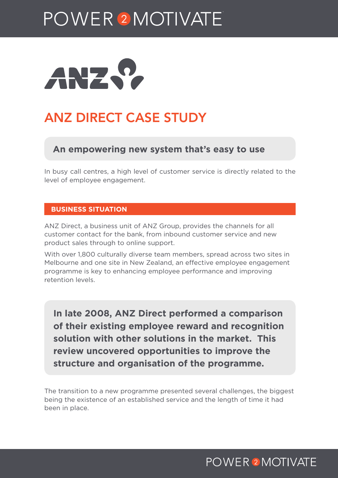# POWER<sup>2</sup>MOTIVATE



## ANZ DIRECT CASE STUDY

#### **An empowering new system that's easy to use**

In busy call centres, a high level of customer service is directly related to the level of employee engagement.

#### **BUSINESS SITUATION**

ANZ Direct, a business unit of ANZ Group, provides the channels for all customer contact for the bank, from inbound customer service and new product sales through to online support.

With over 1,800 culturally diverse team members, spread across two sites in Melbourne and one site in New Zealand, an effective employee engagement programme is key to enhancing employee performance and improving retention levels.

**In late 2008, ANZ Direct performed a comparison of their existing employee reward and recognition solution with other solutions in the market. This review uncovered opportunities to improve the structure and organisation of the programme.**

The transition to a new programme presented several challenges, the biggest being the existence of an established service and the length of time it had been in place.

## **POWER 2 MOTIVATE**